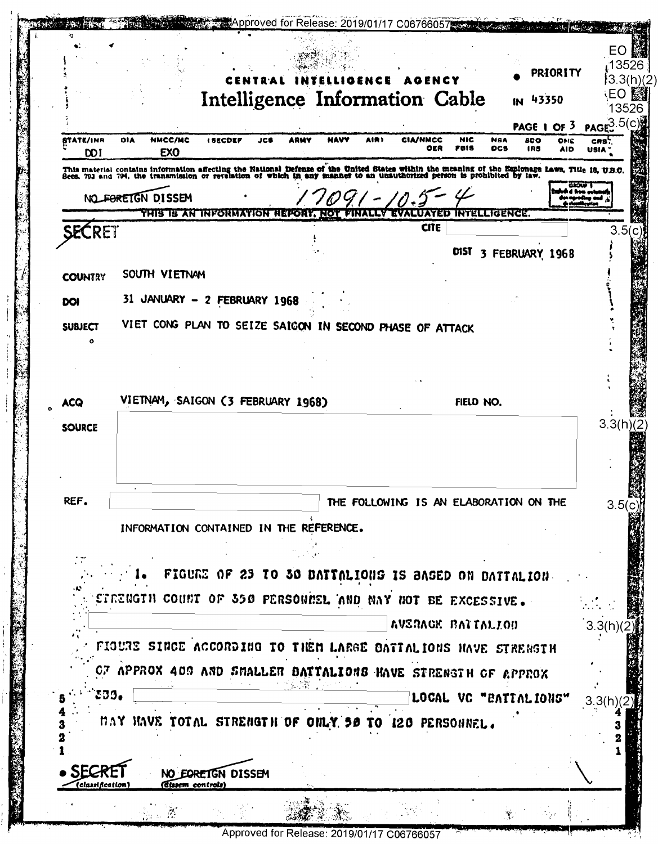|                                |                                                                                                                                                                                                                                  |                                                      |             |              | AGENCY                 |             |                                        | PRIORITY                                      |
|--------------------------------|----------------------------------------------------------------------------------------------------------------------------------------------------------------------------------------------------------------------------------|------------------------------------------------------|-------------|--------------|------------------------|-------------|----------------------------------------|-----------------------------------------------|
|                                |                                                                                                                                                                                                                                  | Intelligence Information Cable                       |             |              |                        |             | IN 43350                               |                                               |
|                                |                                                                                                                                                                                                                                  |                                                      |             |              |                        |             | <b>PAGE 1 OF 3</b>                     | PAGE 3.5(C)                                   |
| <b>ITATE/INR</b><br><b>DOI</b> | NMCC/MC<br><b>DIA</b><br>EX <sub>0</sub>                                                                                                                                                                                         | <b>ISECDEF</b>                                       | JCB<br>ARMY | NAVV<br>AIR) | <b>CIA/NMCC</b><br>OER | NIC<br>FOIS | NSA<br>800<br><b>DCS</b><br>IRS        | ONE<br>CRS <sup>'</sup><br><b>AID</b><br>USIA |
|                                | This material contains information affecting the National Defense of the United States within the meaning of the Espionage Laws, Title 18, U.B.C.<br>Secs. 793 and 794, the transmission or revelation of which in any manner to |                                                      |             |              |                        |             |                                        |                                               |
|                                | NO FORETGN DISSEM                                                                                                                                                                                                                |                                                      |             |              |                        |             |                                        |                                               |
|                                |                                                                                                                                                                                                                                  | THIS IS AN INFORMATION REPORT. NOT                   |             |              |                        |             | LUATED INTELLIGENCE.                   |                                               |
| <b>SECRET</b>                  |                                                                                                                                                                                                                                  |                                                      |             |              | <b>CITE</b>            |             |                                        |                                               |
|                                |                                                                                                                                                                                                                                  |                                                      |             |              |                        |             | DIST 3 FEBRUARY 1968                   |                                               |
| <b>COUNTRY</b>                 | SOUTH VIETNAM                                                                                                                                                                                                                    |                                                      |             |              |                        |             |                                        |                                               |
| DOI                            | 31 JANUARY - 2 FEBRUARY 1968                                                                                                                                                                                                     |                                                      |             |              |                        |             |                                        |                                               |
| <b>SUBJECT</b>                 | VIET CONG PLAN TO SEIZE SAIGON IN SECOND PHASE OF ATTACK                                                                                                                                                                         |                                                      |             |              |                        |             |                                        |                                               |
|                                |                                                                                                                                                                                                                                  |                                                      |             |              |                        |             |                                        |                                               |
|                                |                                                                                                                                                                                                                                  |                                                      |             |              |                        |             |                                        |                                               |
| <b>ACQ</b>                     | VIETNAM, SAIGON (3 FEBRUARY 1968)                                                                                                                                                                                                |                                                      |             |              |                        | FIELD NO.   |                                        |                                               |
|                                |                                                                                                                                                                                                                                  |                                                      |             |              |                        |             |                                        |                                               |
| <b>SOURCE</b>                  |                                                                                                                                                                                                                                  |                                                      |             |              |                        |             |                                        |                                               |
|                                |                                                                                                                                                                                                                                  |                                                      |             |              |                        |             |                                        |                                               |
|                                |                                                                                                                                                                                                                                  |                                                      |             |              |                        |             |                                        |                                               |
| REF.                           |                                                                                                                                                                                                                                  |                                                      |             |              |                        |             | THE FOLLOWING IS AN ELABORATION ON THE |                                               |
|                                | INFORMATION CONTAINED IN THE REFERENCE.                                                                                                                                                                                          |                                                      |             |              |                        |             |                                        |                                               |
|                                |                                                                                                                                                                                                                                  |                                                      |             |              |                        |             |                                        |                                               |
|                                |                                                                                                                                                                                                                                  | FIGURE OF 23 TO 30 BATTALIONS IS BASED ON DATTALION. |             |              |                        |             |                                        |                                               |
|                                | ETRENGTH COUNT OF 350 PERSONNEL AND NAY NOT BE EXCESSIVE.                                                                                                                                                                        |                                                      |             |              |                        |             |                                        |                                               |
|                                |                                                                                                                                                                                                                                  |                                                      |             |              | AVERACE BATTALION      |             |                                        | 3.3(h)                                        |
|                                | FIOURE SINCE ACCORDING TO THEM LARGE BATTALIONS HAVE STRENGTH                                                                                                                                                                    |                                                      |             |              |                        |             |                                        |                                               |
|                                | OF APPROX 400 AND SMALLER DATTALIONS HAVE STRENGTH OF APPROX                                                                                                                                                                     |                                                      |             |              |                        |             |                                        |                                               |
| 339.                           |                                                                                                                                                                                                                                  |                                                      |             |              |                        |             | LOCAL VC "EATTALIONS"                  | 3.3(h)                                        |
|                                | MAY HAVE TOTAL STRENGTH OF ONLY 50 TO 120 PERSONNEL.                                                                                                                                                                             |                                                      |             |              |                        |             |                                        |                                               |
|                                |                                                                                                                                                                                                                                  |                                                      |             |              |                        |             |                                        |                                               |
|                                |                                                                                                                                                                                                                                  |                                                      |             |              |                        |             |                                        |                                               |
| SEC<br>(classification)        | (dissem controls)                                                                                                                                                                                                                | NO EORETGN DISSEM                                    |             |              |                        |             |                                        |                                               |
|                                |                                                                                                                                                                                                                                  |                                                      |             |              |                        |             |                                        |                                               |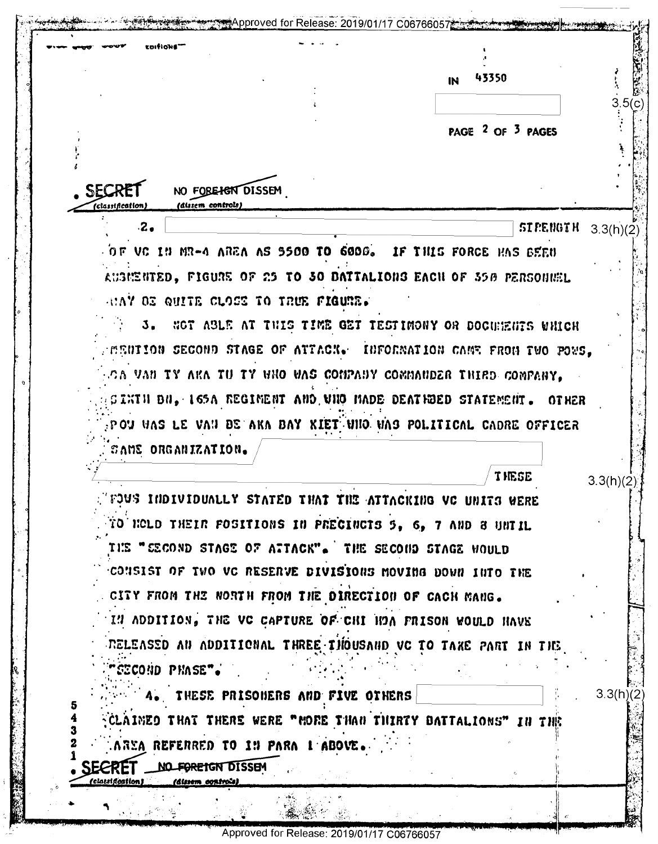|                                                                             | 43350<br>IN                                                              |                        |
|-----------------------------------------------------------------------------|--------------------------------------------------------------------------|------------------------|
|                                                                             |                                                                          |                        |
|                                                                             |                                                                          |                        |
|                                                                             | PAGE <sup>2</sup> OF <sup>3</sup> PAGES                                  |                        |
|                                                                             |                                                                          |                        |
| SECR<br>NO FORE HEN DISSEM                                                  |                                                                          |                        |
| (dissem controls)<br>(classification)                                       |                                                                          |                        |
| $\cdot$ 2.                                                                  | <b>STPENGTH</b>                                                          | 3.3(h)(2)              |
|                                                                             | $\sim$ 0 F VC 1N MR-4 AREA AS 9500 TO 6000. IF THIS FORCE HAS BEEN       |                        |
|                                                                             | AUSMENTED, FIGURE OF 25 TO 30 DATTALIONS EACH OF 350 PERSONNEL           |                        |
| ANAY OS QUITE CLOSS TO TRUE FIGURE.                                         |                                                                          |                        |
|                                                                             | 3. NOT ABLE AT THIS TIME GET TESTIMONY OR DOCUMENTS WHICH                |                        |
|                                                                             | MENIION SECOND STAGE OF ATTACK. INFORMATION CAME FROM TWO POWS,          |                        |
|                                                                             | CA VAN TY AKA TU TY WNO WAS COMPANY COMMANDER THIRD COMPANY.             |                        |
|                                                                             | SINTH BN, 165A REGIMENT AND VHO MADE DEATHDED STATEMENT. OTHER           |                        |
|                                                                             | $_{\rm P}$ ou was le van de aka bay kiet uno vas political cadre officer |                        |
|                                                                             |                                                                          |                        |
| CAME ORGANIZATION.                                                          |                                                                          |                        |
|                                                                             |                                                                          |                        |
|                                                                             | <b>THESE</b>                                                             |                        |
|                                                                             | $\lq$ fous thdividually stated that the attacking VC units were          |                        |
|                                                                             | TO HOLD THEIR FOSITIONS IN PRECINCTS 5, 6, 7 AND 8 UNTIL                 |                        |
|                                                                             | THE "SECOND STAGE OF ATTACK". THE SECOND STAGE WOULD                     |                        |
|                                                                             | CONSIST OF TWO VC RESERVE DIVISIONS MOVING DOWN INTO THE                 |                        |
|                                                                             | CITY FROM THE NORTH FROM THE DIRECTION OF CACH MANG.                     |                        |
|                                                                             | IN ADDITION, THE VC CAPTURE OF CHI HOA FRISON WOULD HAVE                 |                        |
|                                                                             | RELEASSD AN ADDITIONAL THREE THOUSAND VC TO TAKE PART IN THE             |                        |
| "cecond phase". "                                                           |                                                                          |                        |
| 4. THESE PRISONERS AND FIVE OTHERS                                          |                                                                          |                        |
|                                                                             | CLAINED THAT THERE WERE "MORE THAN THIRTY DATTALIONS" IN THE             |                        |
| AREA REFERRED TO 19 PARA 1 ABOVE.                                           |                                                                          |                        |
| <b>SECRET</b><br>NO FOREIGN DISSEM<br>(classification)<br>(dissem controls) |                                                                          | 3.3(h)(2)<br>3.3(h)(2) |

Approved for Release: 2019/01/17 C06766057